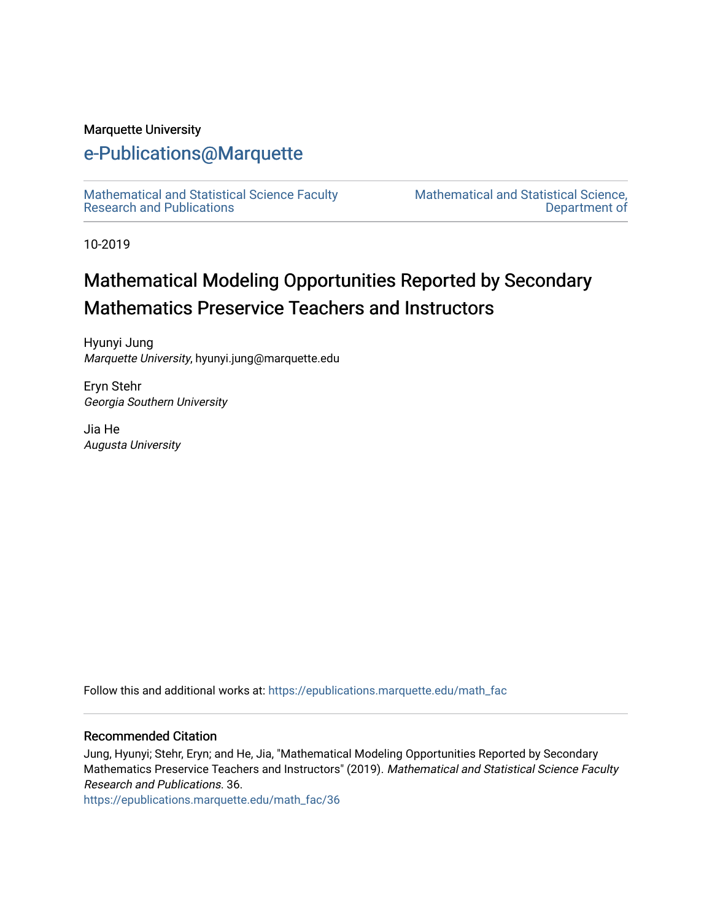#### Marquette University

## [e-Publications@Marquette](https://epublications.marquette.edu/)

[Mathematical and Statistical Science Faculty](https://epublications.marquette.edu/math_fac)  [Research and Publications](https://epublications.marquette.edu/math_fac) 

[Mathematical and Statistical Science,](https://epublications.marquette.edu/math)  [Department of](https://epublications.marquette.edu/math) 

10-2019

# Mathematical Modeling Opportunities Reported by Secondary Mathematics Preservice Teachers and Instructors

Hyunyi Jung Marquette University, hyunyi.jung@marquette.edu

Eryn Stehr Georgia Southern University

Jia He Augusta University

Follow this and additional works at: [https://epublications.marquette.edu/math\\_fac](https://epublications.marquette.edu/math_fac?utm_source=epublications.marquette.edu%2Fmath_fac%2F36&utm_medium=PDF&utm_campaign=PDFCoverPages)

#### Recommended Citation

Jung, Hyunyi; Stehr, Eryn; and He, Jia, "Mathematical Modeling Opportunities Reported by Secondary Mathematics Preservice Teachers and Instructors" (2019). Mathematical and Statistical Science Faculty Research and Publications. 36.

[https://epublications.marquette.edu/math\\_fac/36](https://epublications.marquette.edu/math_fac/36?utm_source=epublications.marquette.edu%2Fmath_fac%2F36&utm_medium=PDF&utm_campaign=PDFCoverPages)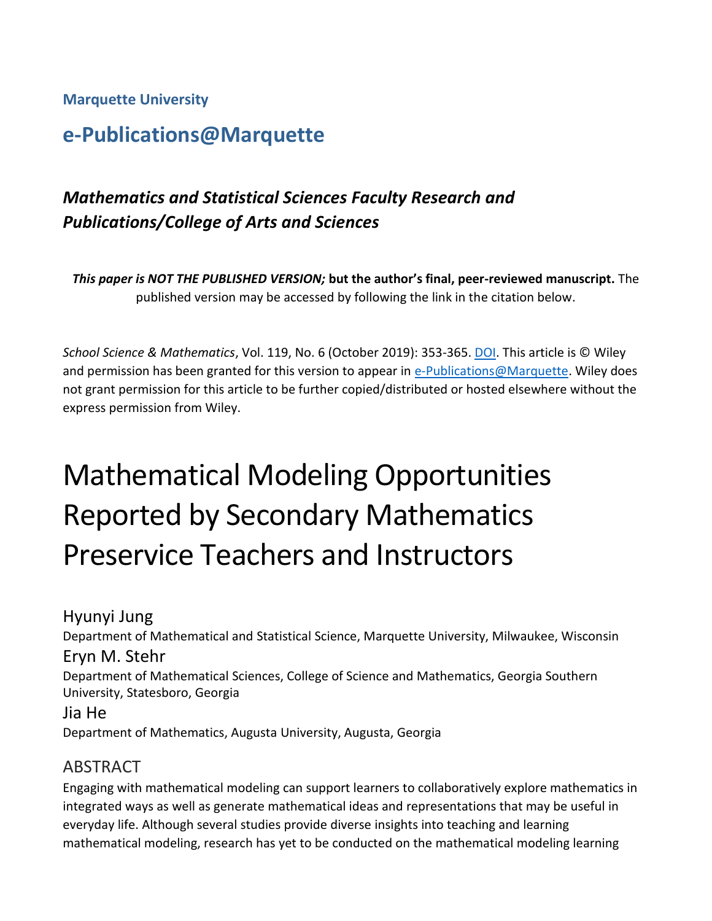**Marquette University**

# **e-Publications@Marquette**

# *Mathematics and Statistical Sciences Faculty Research and Publications/College of Arts and Sciences*

*This paper is NOT THE PUBLISHED VERSION;* **but the author's final, peer-reviewed manuscript.** The published version may be accessed by following the link in the citation below.

*School Science & Mathematics*, Vol. 119, No. 6 (October 2019): 353-365. [DOI.](https://doi.org/10.1111/ssm.12359) This article is © Wiley and permission has been granted for this version to appear in [e-Publications@Marquette.](http://epublications.marquette.edu/) Wiley does not grant permission for this article to be further copied/distributed or hosted elsewhere without the express permission from Wiley.

# Mathematical Modeling Opportunities Reported by Secondary Mathematics Preservice Teachers and Instructors

Hyunyi Jung Department of Mathematical and Statistical Science, Marquette University, Milwaukee, Wisconsin Eryn M. Stehr Department of Mathematical Sciences, College of Science and Mathematics, Georgia Southern University, Statesboro, Georgia Jia He Department of Mathematics, Augusta University, Augusta, Georgia

## ABSTRACT

Engaging with mathematical modeling can support learners to collaboratively explore mathematics in integrated ways as well as generate mathematical ideas and representations that may be useful in everyday life. Although several studies provide diverse insights into teaching and learning mathematical modeling, research has yet to be conducted on the mathematical modeling learning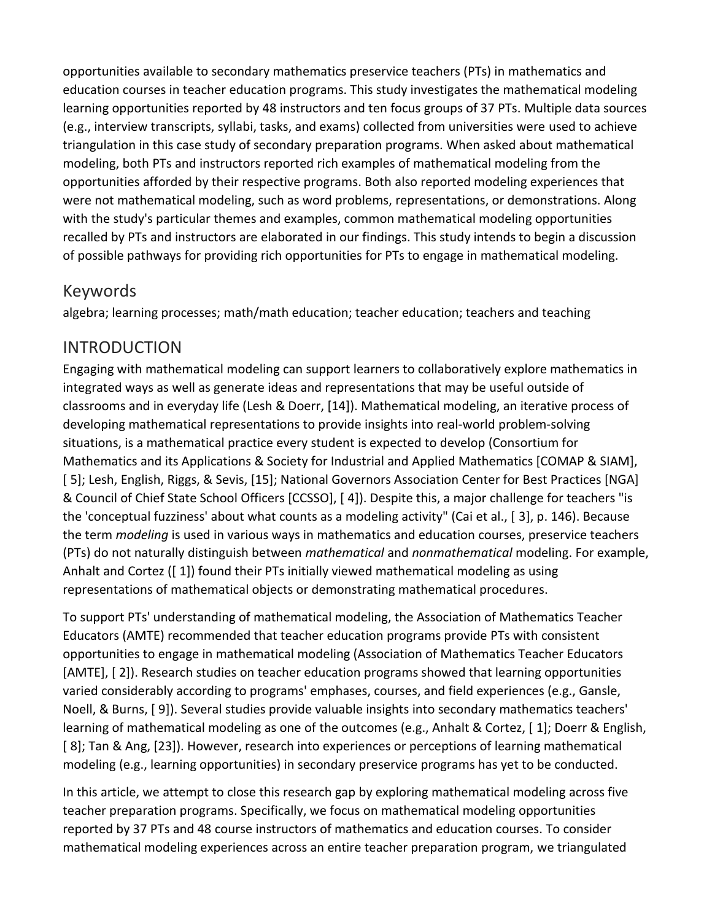opportunities available to secondary mathematics preservice teachers (PTs) in mathematics and education courses in teacher education programs. This study investigates the mathematical modeling learning opportunities reported by 48 instructors and ten focus groups of 37 PTs. Multiple data sources (e.g., interview transcripts, syllabi, tasks, and exams) collected from universities were used to achieve triangulation in this case study of secondary preparation programs. When asked about mathematical modeling, both PTs and instructors reported rich examples of mathematical modeling from the opportunities afforded by their respective programs. Both also reported modeling experiences that were not mathematical modeling, such as word problems, representations, or demonstrations. Along with the study's particular themes and examples, common mathematical modeling opportunities recalled by PTs and instructors are elaborated in our findings. This study intends to begin a discussion of possible pathways for providing rich opportunities for PTs to engage in mathematical modeling.

## Keywords

algebra; learning processes; math/math education; teacher education; teachers and teaching

## INTRODUCTION

Engaging with mathematical modeling can support learners to collaboratively explore mathematics in integrated ways as well as generate ideas and representations that may be useful outside of classrooms and in everyday life (Lesh & Doerr, [14]). Mathematical modeling, an iterative process of developing mathematical representations to provide insights into real‐world problem‐solving situations, is a mathematical practice every student is expected to develop (Consortium for Mathematics and its Applications & Society for Industrial and Applied Mathematics [COMAP & SIAM], [ 5]; Lesh, English, Riggs, & Sevis, [15]; National Governors Association Center for Best Practices [NGA] & Council of Chief State School Officers [CCSSO], [ 4]). Despite this, a major challenge for teachers "is the 'conceptual fuzziness' about what counts as a modeling activity" (Cai et al., [ 3], p. 146). Because the term *modeling* is used in various ways in mathematics and education courses, preservice teachers (PTs) do not naturally distinguish between *mathematical* and *nonmathematical* modeling. For example, Anhalt and Cortez ([ 1]) found their PTs initially viewed mathematical modeling as using representations of mathematical objects or demonstrating mathematical procedures.

To support PTs' understanding of mathematical modeling, the Association of Mathematics Teacher Educators (AMTE) recommended that teacher education programs provide PTs with consistent opportunities to engage in mathematical modeling (Association of Mathematics Teacher Educators [AMTE], [ 2]). Research studies on teacher education programs showed that learning opportunities varied considerably according to programs' emphases, courses, and field experiences (e.g., Gansle, Noell, & Burns, [ 9]). Several studies provide valuable insights into secondary mathematics teachers' learning of mathematical modeling as one of the outcomes (e.g., Anhalt & Cortez, [ 1]; Doerr & English, [ 8]; Tan & Ang, [23]). However, research into experiences or perceptions of learning mathematical modeling (e.g., learning opportunities) in secondary preservice programs has yet to be conducted.

In this article, we attempt to close this research gap by exploring mathematical modeling across five teacher preparation programs. Specifically, we focus on mathematical modeling opportunities reported by 37 PTs and 48 course instructors of mathematics and education courses. To consider mathematical modeling experiences across an entire teacher preparation program, we triangulated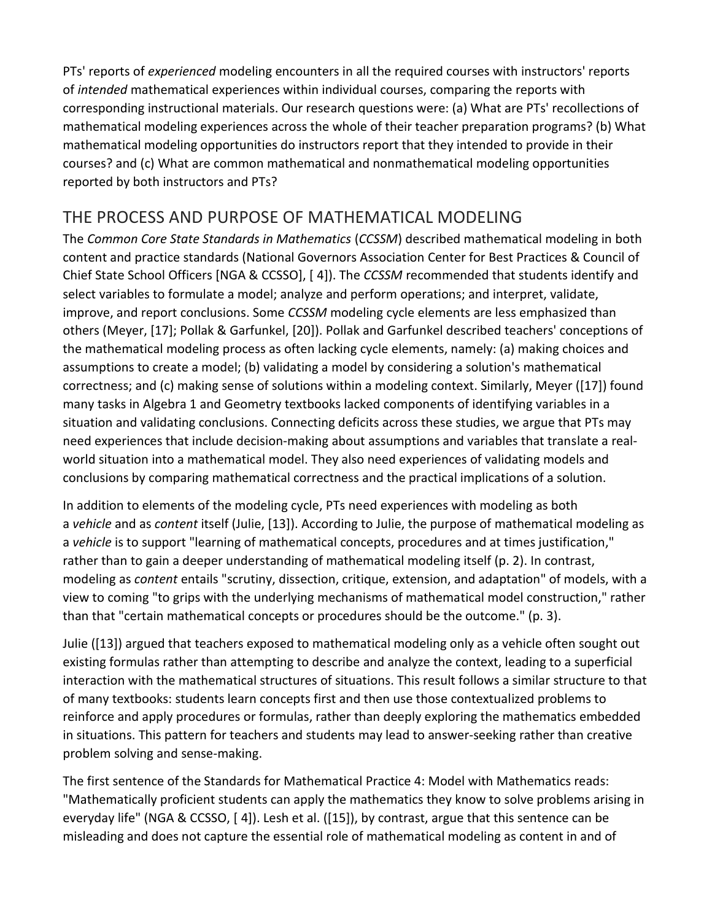PTs' reports of *experienced* modeling encounters in all the required courses with instructors' reports of *intended* mathematical experiences within individual courses, comparing the reports with corresponding instructional materials. Our research questions were: (a) What are PTs' recollections of mathematical modeling experiences across the whole of their teacher preparation programs? (b) What mathematical modeling opportunities do instructors report that they intended to provide in their courses? and (c) What are common mathematical and nonmathematical modeling opportunities reported by both instructors and PTs?

## THE PROCESS AND PURPOSE OF MATHEMATICAL MODELING

The *Common Core State Standards in Mathematics* (*CCSSM*) described mathematical modeling in both content and practice standards (National Governors Association Center for Best Practices & Council of Chief State School Officers [NGA & CCSSO], [ 4]). The *CCSSM* recommended that students identify and select variables to formulate a model; analyze and perform operations; and interpret, validate, improve, and report conclusions. Some *CCSSM* modeling cycle elements are less emphasized than others (Meyer, [17]; Pollak & Garfunkel, [20]). Pollak and Garfunkel described teachers' conceptions of the mathematical modeling process as often lacking cycle elements, namely: (a) making choices and assumptions to create a model; (b) validating a model by considering a solution's mathematical correctness; and (c) making sense of solutions within a modeling context. Similarly, Meyer ([17]) found many tasks in Algebra 1 and Geometry textbooks lacked components of identifying variables in a situation and validating conclusions. Connecting deficits across these studies, we argue that PTs may need experiences that include decision‐making about assumptions and variables that translate a real‐ world situation into a mathematical model. They also need experiences of validating models and conclusions by comparing mathematical correctness and the practical implications of a solution.

In addition to elements of the modeling cycle, PTs need experiences with modeling as both a *vehicle* and as *content* itself (Julie, [13]). According to Julie, the purpose of mathematical modeling as a *vehicle* is to support "learning of mathematical concepts, procedures and at times justification," rather than to gain a deeper understanding of mathematical modeling itself (p. 2). In contrast, modeling as *content* entails "scrutiny, dissection, critique, extension, and adaptation" of models, with a view to coming "to grips with the underlying mechanisms of mathematical model construction," rather than that "certain mathematical concepts or procedures should be the outcome." (p. 3).

Julie ([13]) argued that teachers exposed to mathematical modeling only as a vehicle often sought out existing formulas rather than attempting to describe and analyze the context, leading to a superficial interaction with the mathematical structures of situations. This result follows a similar structure to that of many textbooks: students learn concepts first and then use those contextualized problems to reinforce and apply procedures or formulas, rather than deeply exploring the mathematics embedded in situations. This pattern for teachers and students may lead to answer‐seeking rather than creative problem solving and sense‐making.

The first sentence of the Standards for Mathematical Practice 4: Model with Mathematics reads: "Mathematically proficient students can apply the mathematics they know to solve problems arising in everyday life" (NGA & CCSSO, [ 4]). Lesh et al. ([15]), by contrast, argue that this sentence can be misleading and does not capture the essential role of mathematical modeling as content in and of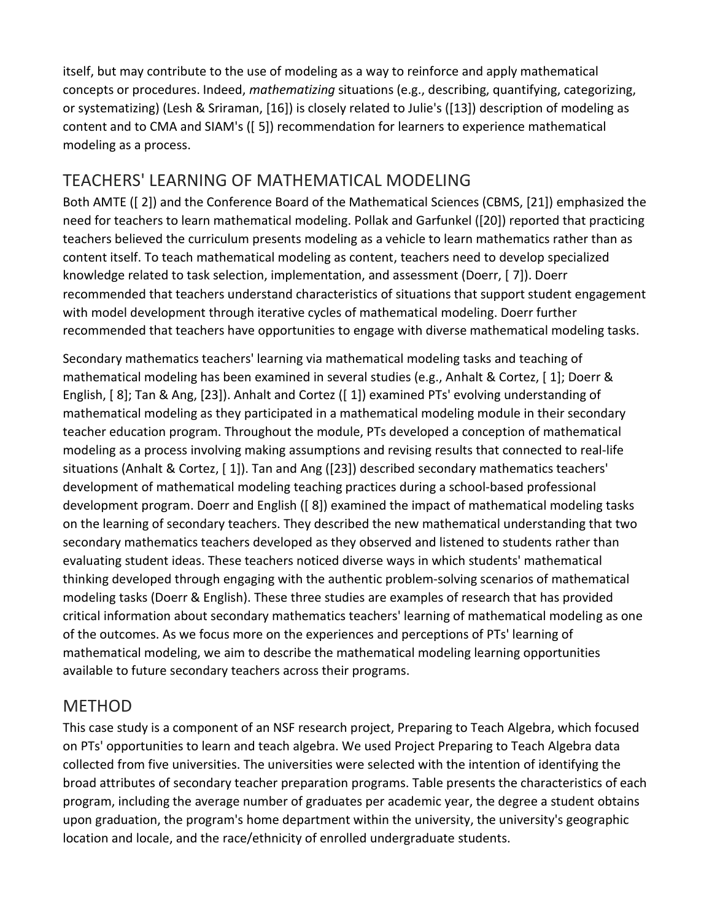itself, but may contribute to the use of modeling as a way to reinforce and apply mathematical concepts or procedures. Indeed, *mathematizing* situations (e.g., describing, quantifying, categorizing, or systematizing) (Lesh & Sriraman, [16]) is closely related to Julie's ([13]) description of modeling as content and to CMA and SIAM's ([ 5]) recommendation for learners to experience mathematical modeling as a process.

## TEACHERS' LEARNING OF MATHEMATICAL MODELING

Both AMTE ([ 2]) and the Conference Board of the Mathematical Sciences (CBMS, [21]) emphasized the need for teachers to learn mathematical modeling. Pollak and Garfunkel ([20]) reported that practicing teachers believed the curriculum presents modeling as a vehicle to learn mathematics rather than as content itself. To teach mathematical modeling as content, teachers need to develop specialized knowledge related to task selection, implementation, and assessment (Doerr, [ 7]). Doerr recommended that teachers understand characteristics of situations that support student engagement with model development through iterative cycles of mathematical modeling. Doerr further recommended that teachers have opportunities to engage with diverse mathematical modeling tasks.

Secondary mathematics teachers' learning via mathematical modeling tasks and teaching of mathematical modeling has been examined in several studies (e.g., Anhalt & Cortez, [ 1]; Doerr & English, [ 8]; Tan & Ang, [23]). Anhalt and Cortez ([ 1]) examined PTs' evolving understanding of mathematical modeling as they participated in a mathematical modeling module in their secondary teacher education program. Throughout the module, PTs developed a conception of mathematical modeling as a process involving making assumptions and revising results that connected to real‐life situations (Anhalt & Cortez, [ 1]). Tan and Ang ([23]) described secondary mathematics teachers' development of mathematical modeling teaching practices during a school‐based professional development program. Doerr and English ([ 8]) examined the impact of mathematical modeling tasks on the learning of secondary teachers. They described the new mathematical understanding that two secondary mathematics teachers developed as they observed and listened to students rather than evaluating student ideas. These teachers noticed diverse ways in which students' mathematical thinking developed through engaging with the authentic problem‐solving scenarios of mathematical modeling tasks (Doerr & English). These three studies are examples of research that has provided critical information about secondary mathematics teachers' learning of mathematical modeling as one of the outcomes. As we focus more on the experiences and perceptions of PTs' learning of mathematical modeling, we aim to describe the mathematical modeling learning opportunities available to future secondary teachers across their programs.

## METHOD

This case study is a component of an NSF research project, Preparing to Teach Algebra, which focused on PTs' opportunities to learn and teach algebra. We used Project Preparing to Teach Algebra data collected from five universities. The universities were selected with the intention of identifying the broad attributes of secondary teacher preparation programs. Table presents the characteristics of each program, including the average number of graduates per academic year, the degree a student obtains upon graduation, the program's home department within the university, the university's geographic location and locale, and the race/ethnicity of enrolled undergraduate students.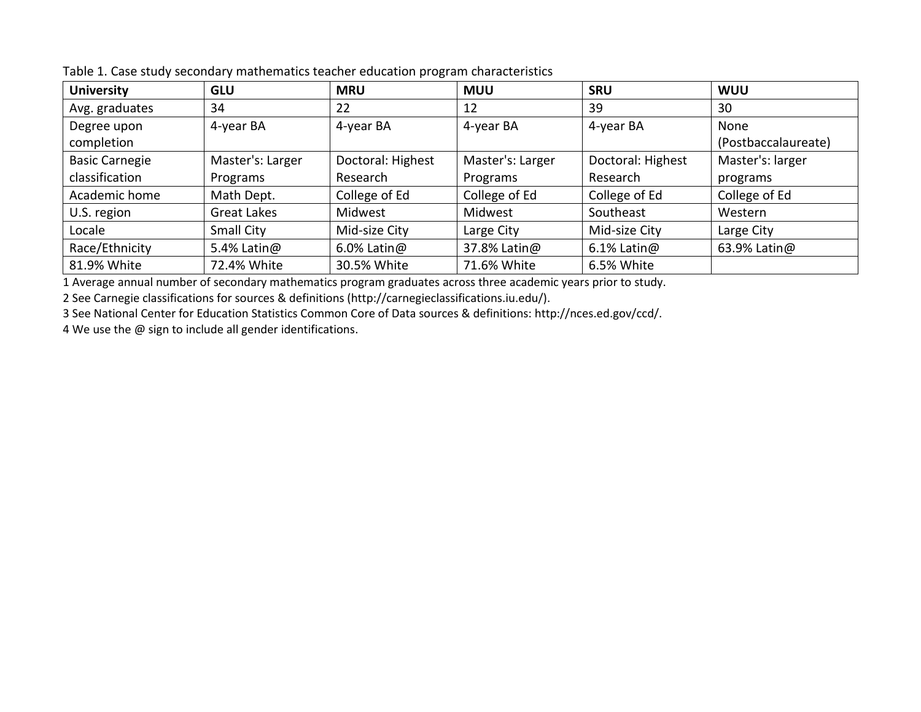| <b>University</b>     | <b>GLU</b>         | <b>MRU</b>        | <b>MUU</b>       | <b>SRU</b>        | <b>WUU</b>          |  |
|-----------------------|--------------------|-------------------|------------------|-------------------|---------------------|--|
| Avg. graduates        | 34                 | 22                | 12               | 39                | 30                  |  |
| Degree upon           | 4-year BA          | 4-year BA         | 4-year BA        | 4-year BA         | None                |  |
| completion            |                    |                   |                  |                   | (Postbaccalaureate) |  |
| <b>Basic Carnegie</b> | Master's: Larger   | Doctoral: Highest | Master's: Larger | Doctoral: Highest | Master's: larger    |  |
| classification        | Programs           | Research          | Programs         | Research          | programs            |  |
| Academic home         | Math Dept.         | College of Ed     | College of Ed    | College of Ed     | College of Ed       |  |
| U.S. region           | <b>Great Lakes</b> | Midwest           | Midwest          | Southeast         | Western             |  |
| Locale                | Small City         | Mid-size City     | Large City       | Mid-size City     | Large City          |  |
| Race/Ethnicity        | 5.4% Latin@        | $6.0\%$ Latin@    | 37.8% Latin@     | $6.1\%$ Latin@    | 63.9% Latin@        |  |
| 81.9% White           | 72.4% White        | 30.5% White       | 71.6% White      | 6.5% White        |                     |  |

Table 1. Case study secondary mathematics teacher education program characteristics

1 Average annual number of secondary mathematics program graduates across three academic years prior to study.

2 See Carnegie classifications for sources & definitions (http://carnegieclassifications.iu.edu/).

3 See National Center for Education Statistics Common Core of Data sources & definitions: http://nces.ed.gov/ccd/.

4 We use the @ sign to include all gender identifications.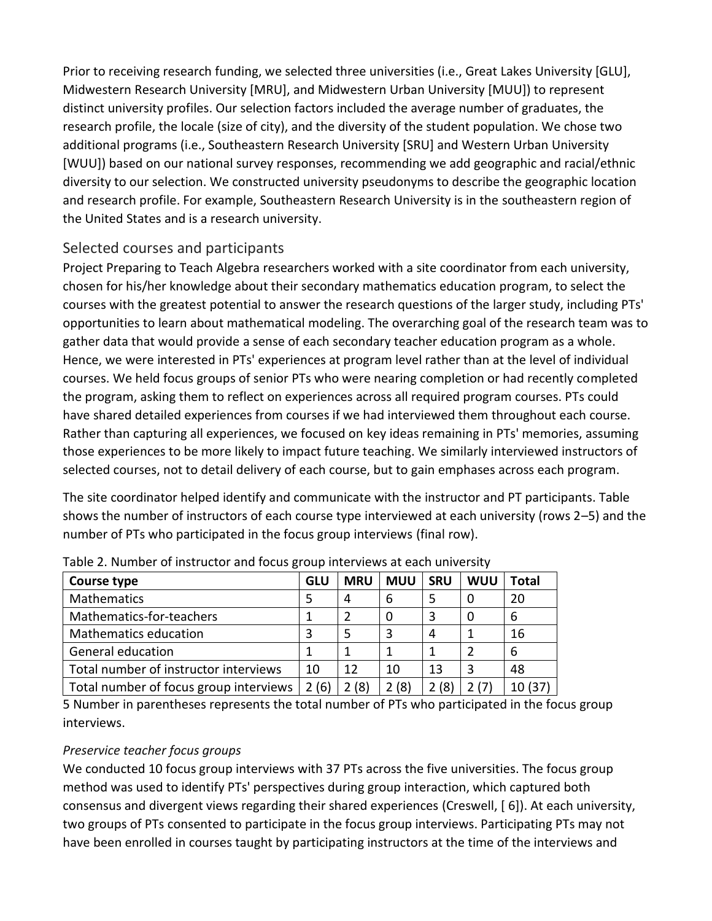Prior to receiving research funding, we selected three universities (i.e., Great Lakes University [GLU], Midwestern Research University [MRU], and Midwestern Urban University [MUU]) to represent distinct university profiles. Our selection factors included the average number of graduates, the research profile, the locale (size of city), and the diversity of the student population. We chose two additional programs (i.e., Southeastern Research University [SRU] and Western Urban University [WUU]) based on our national survey responses, recommending we add geographic and racial/ethnic diversity to our selection. We constructed university pseudonyms to describe the geographic location and research profile. For example, Southeastern Research University is in the southeastern region of the United States and is a research university.

#### Selected courses and participants

Project Preparing to Teach Algebra researchers worked with a site coordinator from each university, chosen for his/her knowledge about their secondary mathematics education program, to select the courses with the greatest potential to answer the research questions of the larger study, including PTs' opportunities to learn about mathematical modeling. The overarching goal of the research team was to gather data that would provide a sense of each secondary teacher education program as a whole. Hence, we were interested in PTs' experiences at program level rather than at the level of individual courses. We held focus groups of senior PTs who were nearing completion or had recently completed the program, asking them to reflect on experiences across all required program courses. PTs could have shared detailed experiences from courses if we had interviewed them throughout each course. Rather than capturing all experiences, we focused on key ideas remaining in PTs' memories, assuming those experiences to be more likely to impact future teaching. We similarly interviewed instructors of selected courses, not to detail delivery of each course, but to gain emphases across each program.

The site coordinator helped identify and communicate with the instructor and PT participants. Table shows the number of instructors of each course type interviewed at each university (rows 2–5) and the number of PTs who participated in the focus group interviews (final row).

| Course type                            | GLU  | <b>MRU</b> | <b>MUU</b> | <b>SRU</b> | <b>WUU</b> | Total |
|----------------------------------------|------|------------|------------|------------|------------|-------|
| <b>Mathematics</b>                     |      | 4          | 6          |            |            | 20    |
| Mathematics-for-teachers               |      |            |            |            |            | 6     |
| <b>Mathematics education</b>           |      |            |            | 4          |            | 16    |
| General education                      |      |            |            |            | 2          | 6     |
| Total number of instructor interviews  | 10   | 12         | 10         | 13         | 3          | 48    |
| Total number of focus group interviews | 2(6) | 2(8)       | 2(8)       | 2(8)       |            |       |

Table 2. Number of instructor and focus group interviews at each university

5 Number in parentheses represents the total number of PTs who participated in the focus group interviews.

#### *Preservice teacher focus groups*

We conducted 10 focus group interviews with 37 PTs across the five universities. The focus group method was used to identify PTs' perspectives during group interaction, which captured both consensus and divergent views regarding their shared experiences (Creswell, [ 6]). At each university, two groups of PTs consented to participate in the focus group interviews. Participating PTs may not have been enrolled in courses taught by participating instructors at the time of the interviews and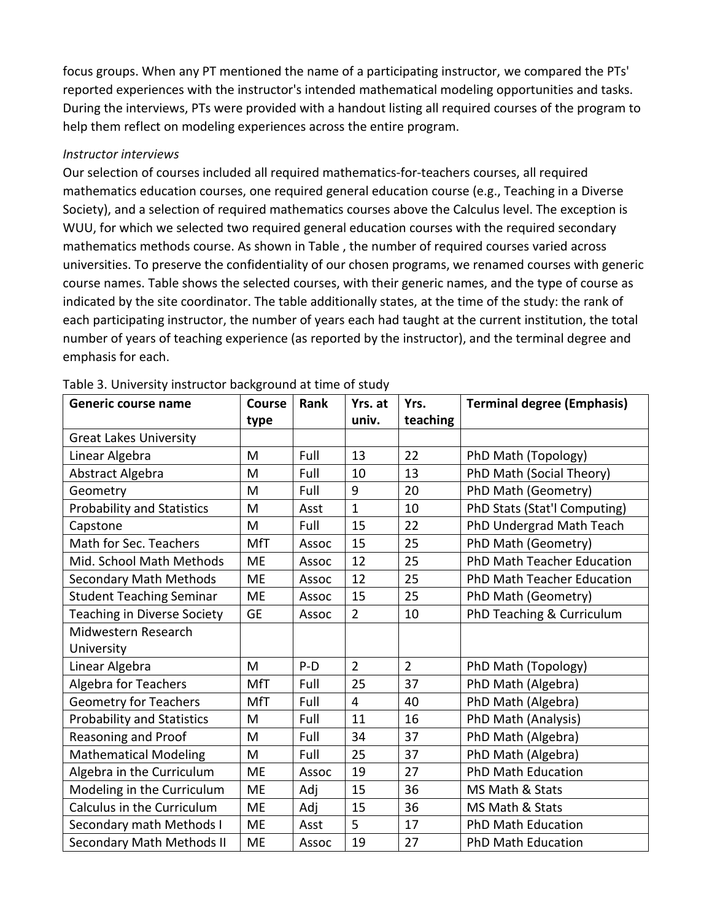focus groups. When any PT mentioned the name of a participating instructor, we compared the PTs' reported experiences with the instructor's intended mathematical modeling opportunities and tasks. During the interviews, PTs were provided with a handout listing all required courses of the program to help them reflect on modeling experiences across the entire program.

#### *Instructor interviews*

Our selection of courses included all required mathematics‐for‐teachers courses, all required mathematics education courses, one required general education course (e.g., Teaching in a Diverse Society), and a selection of required mathematics courses above the Calculus level. The exception is WUU, for which we selected two required general education courses with the required secondary mathematics methods course. As shown in Table , the number of required courses varied across universities. To preserve the confidentiality of our chosen programs, we renamed courses with generic course names. Table shows the selected courses, with their generic names, and the type of course as indicated by the site coordinator. The table additionally states, at the time of the study: the rank of each participating instructor, the number of years each had taught at the current institution, the total number of years of teaching experience (as reported by the instructor), and the terminal degree and emphasis for each.

| Generic course name                | Course     | Rank  | Yrs. at        | Yrs.           | <b>Terminal degree (Emphasis)</b> |  |  |  |
|------------------------------------|------------|-------|----------------|----------------|-----------------------------------|--|--|--|
|                                    | type       |       | univ.          | teaching       |                                   |  |  |  |
| <b>Great Lakes University</b>      |            |       |                |                |                                   |  |  |  |
| Linear Algebra                     | M          | Full  | 13             | 22             | PhD Math (Topology)               |  |  |  |
| Abstract Algebra                   | M          | Full  | 10             | 13             | PhD Math (Social Theory)          |  |  |  |
| Geometry                           | M          | Full  | 9              | 20             | PhD Math (Geometry)               |  |  |  |
| <b>Probability and Statistics</b>  | M          | Asst  | $\mathbf{1}$   | 10             | PhD Stats (Stat'l Computing)      |  |  |  |
| Capstone                           | M          | Full  | 15             | 22             | PhD Undergrad Math Teach          |  |  |  |
| Math for Sec. Teachers             | MfT        | Assoc | 15             | 25             | PhD Math (Geometry)               |  |  |  |
| Mid. School Math Methods           | <b>ME</b>  | Assoc | 12             | 25             | PhD Math Teacher Education        |  |  |  |
| <b>Secondary Math Methods</b>      | <b>ME</b>  | Assoc | 12             | 25             | PhD Math Teacher Education        |  |  |  |
| <b>Student Teaching Seminar</b>    | <b>ME</b>  | Assoc | 15             | 25             | PhD Math (Geometry)               |  |  |  |
| <b>Teaching in Diverse Society</b> | <b>GE</b>  | Assoc | $\overline{2}$ | 10             | PhD Teaching & Curriculum         |  |  |  |
| Midwestern Research                |            |       |                |                |                                   |  |  |  |
| University                         |            |       |                |                |                                   |  |  |  |
| Linear Algebra                     | M          | $P-D$ | $\overline{2}$ | $\overline{2}$ | PhD Math (Topology)               |  |  |  |
| Algebra for Teachers               | <b>MfT</b> | Full  | 25             | 37             | PhD Math (Algebra)                |  |  |  |
| <b>Geometry for Teachers</b>       | MfT        | Full  | 4              | 40             | PhD Math (Algebra)                |  |  |  |
| <b>Probability and Statistics</b>  | M          | Full  | 11             | 16             | PhD Math (Analysis)               |  |  |  |
| <b>Reasoning and Proof</b>         | M          | Full  | 34             | 37             | PhD Math (Algebra)                |  |  |  |
| <b>Mathematical Modeling</b>       | M          | Full  | 25             | 37             | PhD Math (Algebra)                |  |  |  |
| Algebra in the Curriculum          | <b>ME</b>  | Assoc | 19             | 27             | <b>PhD Math Education</b>         |  |  |  |
| Modeling in the Curriculum         | <b>ME</b>  | Adj   | 15             | 36             | MS Math & Stats                   |  |  |  |
| Calculus in the Curriculum         | <b>ME</b>  | Adj   | 15             | 36             | MS Math & Stats                   |  |  |  |
| Secondary math Methods I           | <b>ME</b>  | Asst  | 5              | 17             | <b>PhD Math Education</b>         |  |  |  |
| Secondary Math Methods II          | ME         | Assoc | 19             | 27             | <b>PhD Math Education</b>         |  |  |  |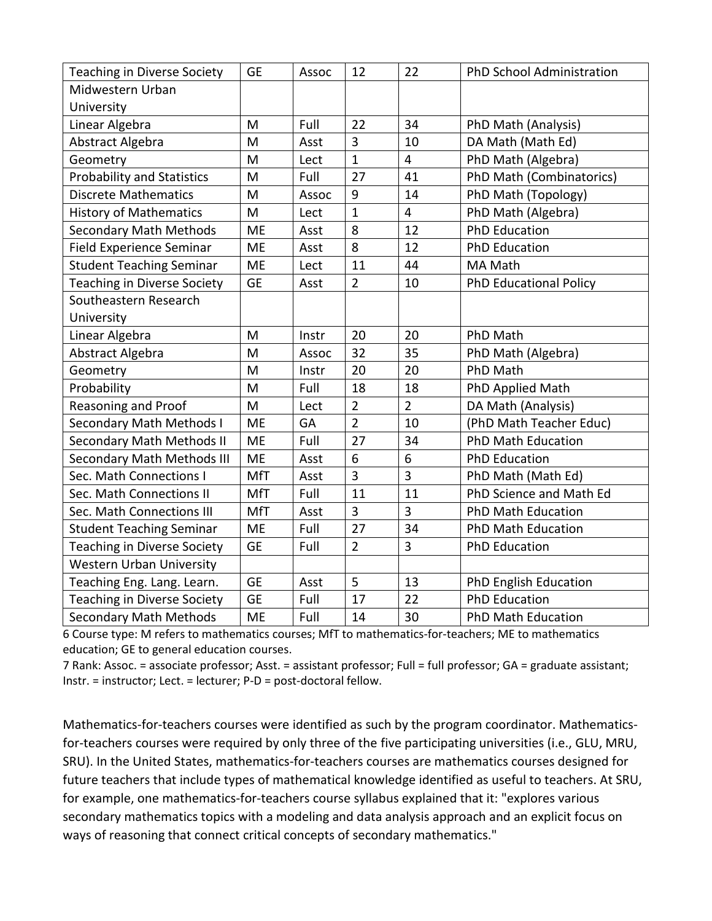| <b>Teaching in Diverse Society</b> | <b>GE</b> | Assoc | 12             | 22             | PhD School Administration     |
|------------------------------------|-----------|-------|----------------|----------------|-------------------------------|
| Midwestern Urban                   |           |       |                |                |                               |
| University                         |           |       |                |                |                               |
| Linear Algebra                     | M         | Full  | 22             | 34             | PhD Math (Analysis)           |
| Abstract Algebra                   | M         | Asst  | $\overline{3}$ | 10             | DA Math (Math Ed)             |
| Geometry                           | M         | Lect  | $\mathbf{1}$   | 4              | PhD Math (Algebra)            |
| <b>Probability and Statistics</b>  | M         | Full  | 27             | 41             | PhD Math (Combinatorics)      |
| <b>Discrete Mathematics</b>        | M         | Assoc | 9              | 14             | PhD Math (Topology)           |
| <b>History of Mathematics</b>      | M         | Lect  | $\mathbf{1}$   | 4              | PhD Math (Algebra)            |
| <b>Secondary Math Methods</b>      | <b>ME</b> | Asst  | 8              | 12             | <b>PhD Education</b>          |
| Field Experience Seminar           | <b>ME</b> | Asst  | 8              | 12             | <b>PhD Education</b>          |
| <b>Student Teaching Seminar</b>    | <b>ME</b> | Lect  | 11             | 44             | <b>MA Math</b>                |
| <b>Teaching in Diverse Society</b> | <b>GE</b> | Asst  | $\overline{2}$ | 10             | <b>PhD Educational Policy</b> |
| Southeastern Research              |           |       |                |                |                               |
| University                         |           |       |                |                |                               |
| Linear Algebra                     | M         | Instr | 20             | 20             | PhD Math                      |
| Abstract Algebra                   | M         | Assoc | 32             | 35             | PhD Math (Algebra)            |
| Geometry                           | M         | Instr | 20             | 20             | PhD Math                      |
| Probability                        | M         | Full  | 18             | 18             | PhD Applied Math              |
| <b>Reasoning and Proof</b>         | M         | Lect  | $\overline{2}$ | $\overline{2}$ | DA Math (Analysis)            |
| Secondary Math Methods I           | <b>ME</b> | GA    | $\overline{2}$ | 10             | (PhD Math Teacher Educ)       |
| Secondary Math Methods II          | <b>ME</b> | Full  | 27             | 34             | <b>PhD Math Education</b>     |
| <b>Secondary Math Methods III</b>  | <b>ME</b> | Asst  | 6              | 6              | <b>PhD Education</b>          |
| Sec. Math Connections I            | MfT       | Asst  | 3              | 3              | PhD Math (Math Ed)            |
| Sec. Math Connections II           | MfT       | Full  | 11             | 11             | PhD Science and Math Ed       |
| Sec. Math Connections III          | MfT       | Asst  | 3              | 3              | <b>PhD Math Education</b>     |
| <b>Student Teaching Seminar</b>    | ME        | Full  | 27             | 34             | <b>PhD Math Education</b>     |
| <b>Teaching in Diverse Society</b> | <b>GE</b> | Full  | $\overline{2}$ | 3              | <b>PhD Education</b>          |
| <b>Western Urban University</b>    |           |       |                |                |                               |
| Teaching Eng. Lang. Learn.         | <b>GE</b> | Asst  | 5              | 13             | <b>PhD English Education</b>  |
| <b>Teaching in Diverse Society</b> | <b>GE</b> | Full  | 17             | 22             | <b>PhD Education</b>          |
| Secondary Math Methods             | ME        | Full  | 14             | 30             | <b>PhD Math Education</b>     |

6 Course type: M refers to mathematics courses; MfT to mathematics‐for‐teachers; ME to mathematics education; GE to general education courses.

7 Rank: Assoc. = associate professor; Asst. = assistant professor; Full = full professor; GA = graduate assistant; Instr. = instructor; Lect. = lecturer; P‐D = post‐doctoral fellow.

Mathematics-for-teachers courses were identified as such by the program coordinator. Mathematicsfor-teachers courses were required by only three of the five participating universities (i.e., GLU, MRU, SRU). In the United States, mathematics-for-teachers courses are mathematics courses designed for future teachers that include types of mathematical knowledge identified as useful to teachers. At SRU, for example, one mathematics-for-teachers course syllabus explained that it: "explores various secondary mathematics topics with a modeling and data analysis approach and an explicit focus on ways of reasoning that connect critical concepts of secondary mathematics."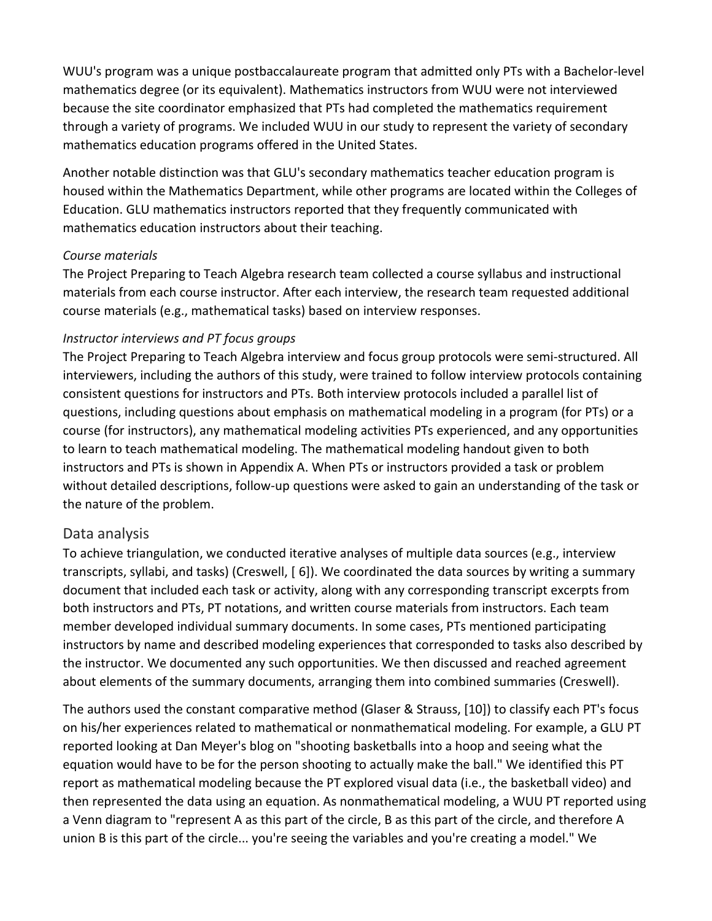WUU's program was a unique postbaccalaureate program that admitted only PTs with a Bachelor‐level mathematics degree (or its equivalent). Mathematics instructors from WUU were not interviewed because the site coordinator emphasized that PTs had completed the mathematics requirement through a variety of programs. We included WUU in our study to represent the variety of secondary mathematics education programs offered in the United States.

Another notable distinction was that GLU's secondary mathematics teacher education program is housed within the Mathematics Department, while other programs are located within the Colleges of Education. GLU mathematics instructors reported that they frequently communicated with mathematics education instructors about their teaching.

#### *Course materials*

The Project Preparing to Teach Algebra research team collected a course syllabus and instructional materials from each course instructor. After each interview, the research team requested additional course materials (e.g., mathematical tasks) based on interview responses.

#### *Instructor interviews and PT focus groups*

The Project Preparing to Teach Algebra interview and focus group protocols were semi‐structured. All interviewers, including the authors of this study, were trained to follow interview protocols containing consistent questions for instructors and PTs. Both interview protocols included a parallel list of questions, including questions about emphasis on mathematical modeling in a program (for PTs) or a course (for instructors), any mathematical modeling activities PTs experienced, and any opportunities to learn to teach mathematical modeling. The mathematical modeling handout given to both instructors and PTs is shown in Appendix A. When PTs or instructors provided a task or problem without detailed descriptions, follow‐up questions were asked to gain an understanding of the task or the nature of the problem.

#### Data analysis

To achieve triangulation, we conducted iterative analyses of multiple data sources (e.g., interview transcripts, syllabi, and tasks) (Creswell, [ 6]). We coordinated the data sources by writing a summary document that included each task or activity, along with any corresponding transcript excerpts from both instructors and PTs, PT notations, and written course materials from instructors. Each team member developed individual summary documents. In some cases, PTs mentioned participating instructors by name and described modeling experiences that corresponded to tasks also described by the instructor. We documented any such opportunities. We then discussed and reached agreement about elements of the summary documents, arranging them into combined summaries (Creswell).

The authors used the constant comparative method (Glaser & Strauss, [10]) to classify each PT's focus on his/her experiences related to mathematical or nonmathematical modeling. For example, a GLU PT reported looking at Dan Meyer's blog on "shooting basketballs into a hoop and seeing what the equation would have to be for the person shooting to actually make the ball." We identified this PT report as mathematical modeling because the PT explored visual data (i.e., the basketball video) and then represented the data using an equation. As nonmathematical modeling, a WUU PT reported using a Venn diagram to "represent A as this part of the circle, B as this part of the circle, and therefore A union B is this part of the circle... you're seeing the variables and you're creating a model." We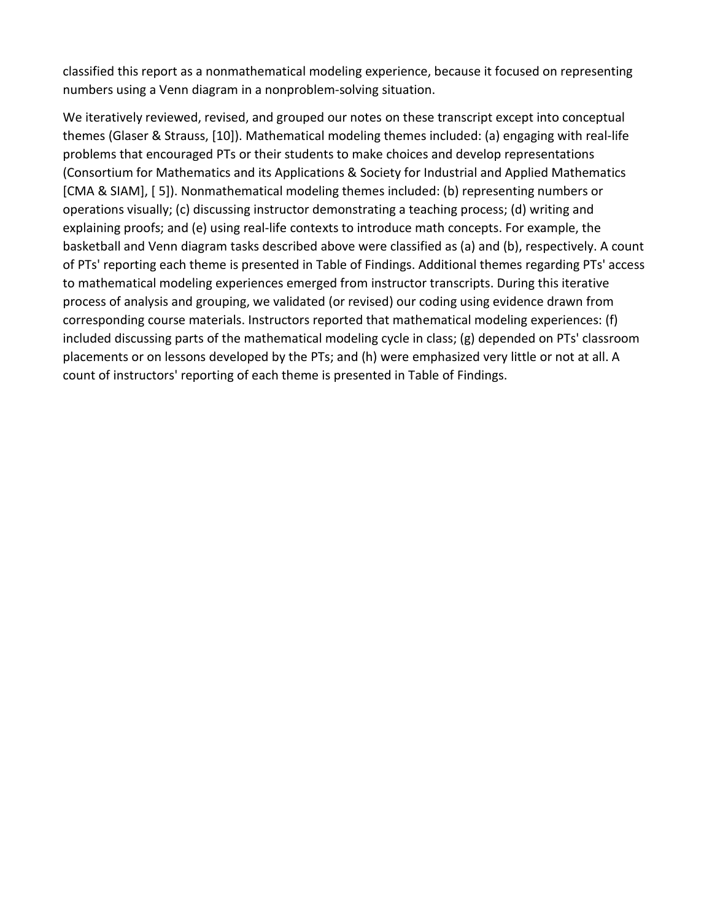classified this report as a nonmathematical modeling experience, because it focused on representing numbers using a Venn diagram in a nonproblem‐solving situation.

We iteratively reviewed, revised, and grouped our notes on these transcript except into conceptual themes (Glaser & Strauss, [10]). Mathematical modeling themes included: (a) engaging with real‐life problems that encouraged PTs or their students to make choices and develop representations (Consortium for Mathematics and its Applications & Society for Industrial and Applied Mathematics [CMA & SIAM], [ 5]). Nonmathematical modeling themes included: (b) representing numbers or operations visually; (c) discussing instructor demonstrating a teaching process; (d) writing and explaining proofs; and (e) using real-life contexts to introduce math concepts. For example, the basketball and Venn diagram tasks described above were classified as (a) and (b), respectively. A count of PTs' reporting each theme is presented in Table of Findings. Additional themes regarding PTs' access to mathematical modeling experiences emerged from instructor transcripts. During this iterative process of analysis and grouping, we validated (or revised) our coding using evidence drawn from corresponding course materials. Instructors reported that mathematical modeling experiences: (f) included discussing parts of the mathematical modeling cycle in class; (g) depended on PTs' classroom placements or on lessons developed by the PTs; and (h) were emphasized very little or not at all. A count of instructors' reporting of each theme is presented in Table of Findings.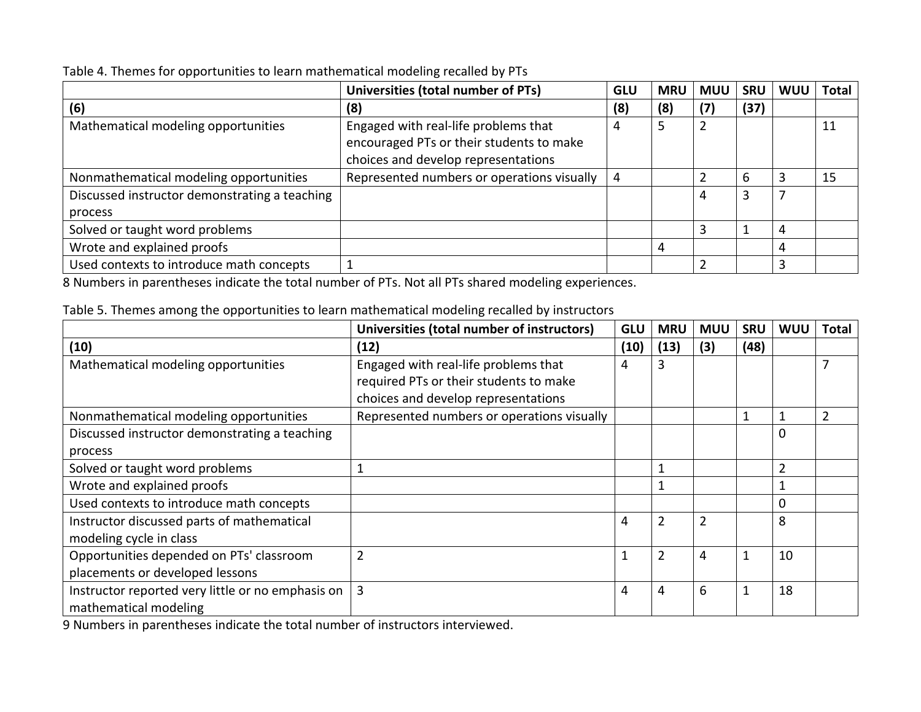|                                               | Universities (total number of PTs)         | <b>GLU</b> | <b>MRU</b> | <b>MUU</b> | <b>SRU</b> | <b>WUU</b> | <b>Total</b> |
|-----------------------------------------------|--------------------------------------------|------------|------------|------------|------------|------------|--------------|
| (6)                                           | (8)                                        | (8)        | (8)        | (7)        | (37)       |            |              |
| Mathematical modeling opportunities           | Engaged with real-life problems that<br>4  |            | 5          |            |            |            | 11           |
|                                               | encouraged PTs or their students to make   |            |            |            |            |            |              |
|                                               | choices and develop representations        |            |            |            |            |            |              |
| Nonmathematical modeling opportunities        | Represented numbers or operations visually | 4          |            |            | 6          |            | 15           |
| Discussed instructor demonstrating a teaching |                                            |            |            | 4          | 3          |            |              |
| process                                       |                                            |            |            |            |            |            |              |
| Solved or taught word problems                |                                            |            |            | 3          |            | 4          |              |
| Wrote and explained proofs                    |                                            |            |            |            |            | 4          |              |
| Used contexts to introduce math concepts      |                                            |            |            |            |            |            |              |

Table 4. Themes for opportunities to learn mathematical modeling recalled by PTs

8 Numbers in parentheses indicate the total number of PTs. Not all PTs shared modeling experiences.

Table 5. Themes among the opportunities to learn mathematical modeling recalled by instructors

|                                                   | Universities (total number of instructors)<br><b>GLU</b> |      | <b>MRU</b>     | <b>MUU</b> | <b>SRU</b>   | <b>WUU</b>     | <b>Total</b>   |
|---------------------------------------------------|----------------------------------------------------------|------|----------------|------------|--------------|----------------|----------------|
| (10)                                              | (12)                                                     | (10) | (13)           | (3)        | (48)         |                |                |
| Mathematical modeling opportunities               | Engaged with real-life problems that                     | 4    | 3              |            |              |                | 7              |
|                                                   | required PTs or their students to make                   |      |                |            |              |                |                |
|                                                   | choices and develop representations                      |      |                |            |              |                |                |
| Nonmathematical modeling opportunities            | Represented numbers or operations visually               |      |                |            |              | 1              | $\overline{2}$ |
| Discussed instructor demonstrating a teaching     |                                                          |      |                |            |              | $\Omega$       |                |
| process                                           |                                                          |      |                |            |              |                |                |
| Solved or taught word problems                    |                                                          |      |                |            |              | $\overline{2}$ |                |
| Wrote and explained proofs                        |                                                          |      |                |            |              |                |                |
| Used contexts to introduce math concepts          |                                                          |      |                |            |              | $\Omega$       |                |
| Instructor discussed parts of mathematical        |                                                          | 4    | $\overline{2}$ | 2          |              | 8              |                |
| modeling cycle in class                           |                                                          |      |                |            |              |                |                |
| Opportunities depended on PTs' classroom          | $\overline{2}$                                           |      | $\overline{2}$ | 4          | $\mathbf{1}$ | 10             |                |
| placements or developed lessons                   |                                                          |      |                |            |              |                |                |
| Instructor reported very little or no emphasis on | $\overline{3}$                                           | 4    | 4              | 6          | $\mathbf{1}$ | 18             |                |
| mathematical modeling                             |                                                          |      |                |            |              |                |                |

9 Numbers in parentheses indicate the total number of instructors interviewed.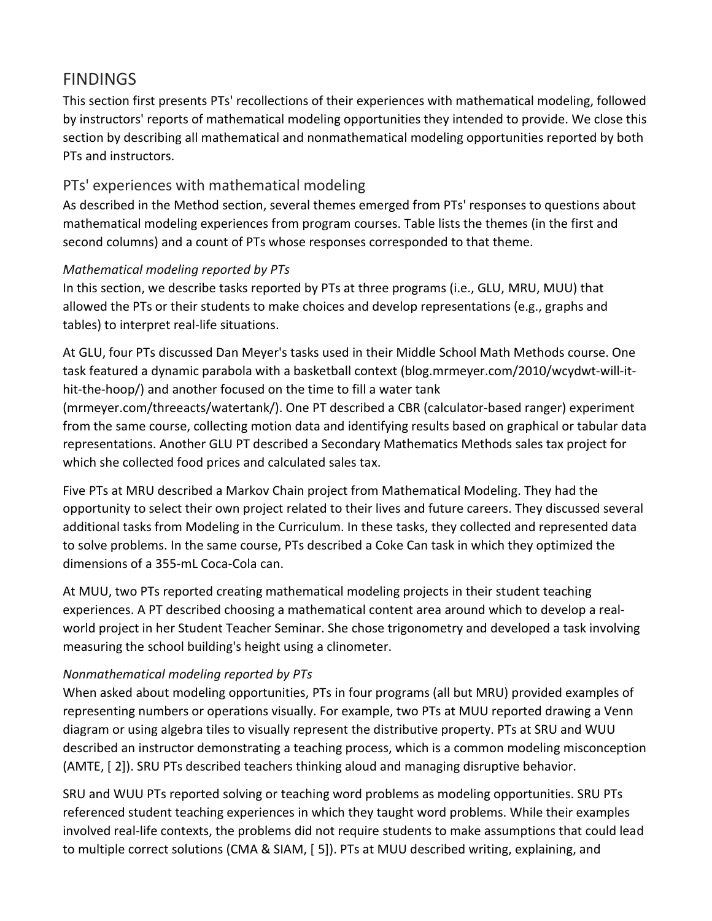## FINDINGS

This section first presents PTs' recollections of their experiences with mathematical modeling, followed by instructors' reports of mathematical modeling opportunities they intended to provide. We close this section by describing all mathematical and nonmathematical modeling opportunities reported by both PTs and instructors.

#### PTs' experiences with mathematical modeling

As described in the Method section, several themes emerged from PTs' responses to questions about mathematical modeling experiences from program courses. Table lists the themes (in the first and second columns) and a count of PTs whose responses corresponded to that theme.

#### *Mathematical modeling reported by PTs*

In this section, we describe tasks reported by PTs at three programs (i.e., GLU, MRU, MUU) that allowed the PTs or their students to make choices and develop representations (e.g., graphs and tables) to interpret real‐life situations.

At GLU, four PTs discussed Dan Meyer's tasks used in their Middle School Math Methods course. One task featured a dynamic parabola with a basketball context (blog.mrmeyer.com/2010/wcydwt‐will‐it‐ hit-the-hoop/) and another focused on the time to fill a water tank

(mrmeyer.com/threeacts/watertank/). One PT described a CBR (calculator‐based ranger) experiment from the same course, collecting motion data and identifying results based on graphical or tabular data representations. Another GLU PT described a Secondary Mathematics Methods sales tax project for which she collected food prices and calculated sales tax.

Five PTs at MRU described a Markov Chain project from Mathematical Modeling. They had the opportunity to select their own project related to their lives and future careers. They discussed several additional tasks from Modeling in the Curriculum. In these tasks, they collected and represented data to solve problems. In the same course, PTs described a Coke Can task in which they optimized the dimensions of a 355‐mL Coca‐Cola can.

At MUU, two PTs reported creating mathematical modeling projects in their student teaching experiences. A PT described choosing a mathematical content area around which to develop a real‐ world project in her Student Teacher Seminar. She chose trigonometry and developed a task involving measuring the school building's height using a clinometer.

#### *Nonmathematical modeling reported by PTs*

When asked about modeling opportunities, PTs in four programs (all but MRU) provided examples of representing numbers or operations visually. For example, two PTs at MUU reported drawing a Venn diagram or using algebra tiles to visually represent the distributive property. PTs at SRU and WUU described an instructor demonstrating a teaching process, which is a common modeling misconception (AMTE, [ 2]). SRU PTs described teachers thinking aloud and managing disruptive behavior.

SRU and WUU PTs reported solving or teaching word problems as modeling opportunities. SRU PTs referenced student teaching experiences in which they taught word problems. While their examples involved real‐life contexts, the problems did not require students to make assumptions that could lead to multiple correct solutions (CMA & SIAM, [ 5]). PTs at MUU described writing, explaining, and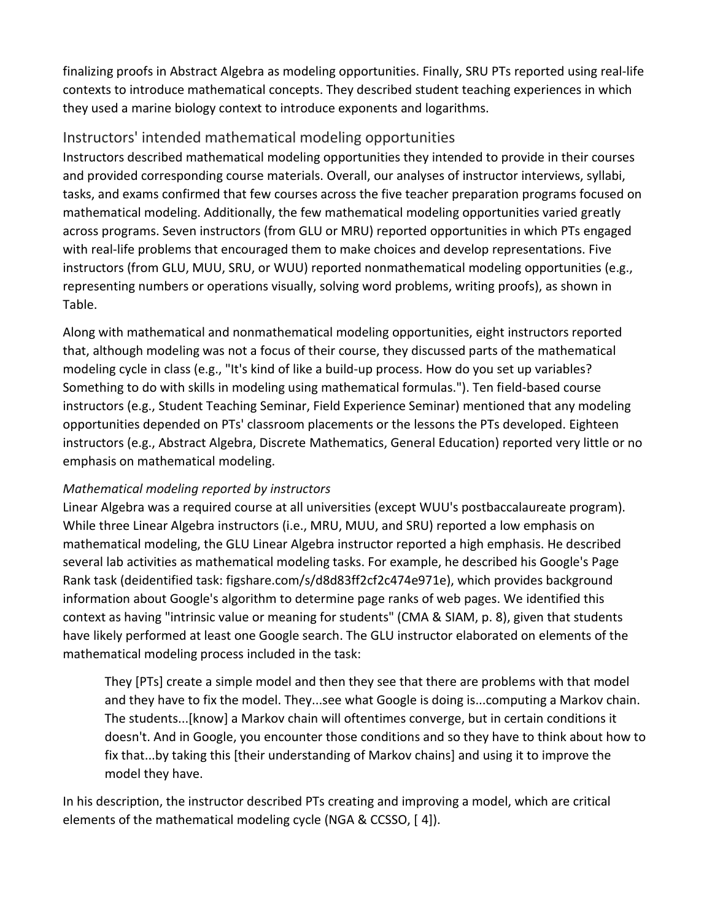finalizing proofs in Abstract Algebra as modeling opportunities. Finally, SRU PTs reported using real-life contexts to introduce mathematical concepts. They described student teaching experiences in which they used a marine biology context to introduce exponents and logarithms.

## Instructors' intended mathematical modeling opportunities

Instructors described mathematical modeling opportunities they intended to provide in their courses and provided corresponding course materials. Overall, our analyses of instructor interviews, syllabi, tasks, and exams confirmed that few courses across the five teacher preparation programs focused on mathematical modeling. Additionally, the few mathematical modeling opportunities varied greatly across programs. Seven instructors (from GLU or MRU) reported opportunities in which PTs engaged with real-life problems that encouraged them to make choices and develop representations. Five instructors (from GLU, MUU, SRU, or WUU) reported nonmathematical modeling opportunities (e.g., representing numbers or operations visually, solving word problems, writing proofs), as shown in Table.

Along with mathematical and nonmathematical modeling opportunities, eight instructors reported that, although modeling was not a focus of their course, they discussed parts of the mathematical modeling cycle in class (e.g., "It's kind of like a build-up process. How do you set up variables? Something to do with skills in modeling using mathematical formulas."). Ten field‐based course instructors (e.g., Student Teaching Seminar, Field Experience Seminar) mentioned that any modeling opportunities depended on PTs' classroom placements or the lessons the PTs developed. Eighteen instructors (e.g., Abstract Algebra, Discrete Mathematics, General Education) reported very little or no emphasis on mathematical modeling.

#### *Mathematical modeling reported by instructors*

Linear Algebra was a required course at all universities (except WUU's postbaccalaureate program). While three Linear Algebra instructors (i.e., MRU, MUU, and SRU) reported a low emphasis on mathematical modeling, the GLU Linear Algebra instructor reported a high emphasis. He described several lab activities as mathematical modeling tasks. For example, he described his Google's Page Rank task (deidentified task: figshare.com/s/d8d83ff2cf2c474e971e), which provides background information about Google's algorithm to determine page ranks of web pages. We identified this context as having "intrinsic value or meaning for students" (CMA & SIAM, p. 8), given that students have likely performed at least one Google search. The GLU instructor elaborated on elements of the mathematical modeling process included in the task:

They [PTs] create a simple model and then they see that there are problems with that model and they have to fix the model. They...see what Google is doing is...computing a Markov chain. The students...[know] a Markov chain will oftentimes converge, but in certain conditions it doesn't. And in Google, you encounter those conditions and so they have to think about how to fix that...by taking this [their understanding of Markov chains] and using it to improve the model they have.

In his description, the instructor described PTs creating and improving a model, which are critical elements of the mathematical modeling cycle (NGA & CCSSO, [ 4]).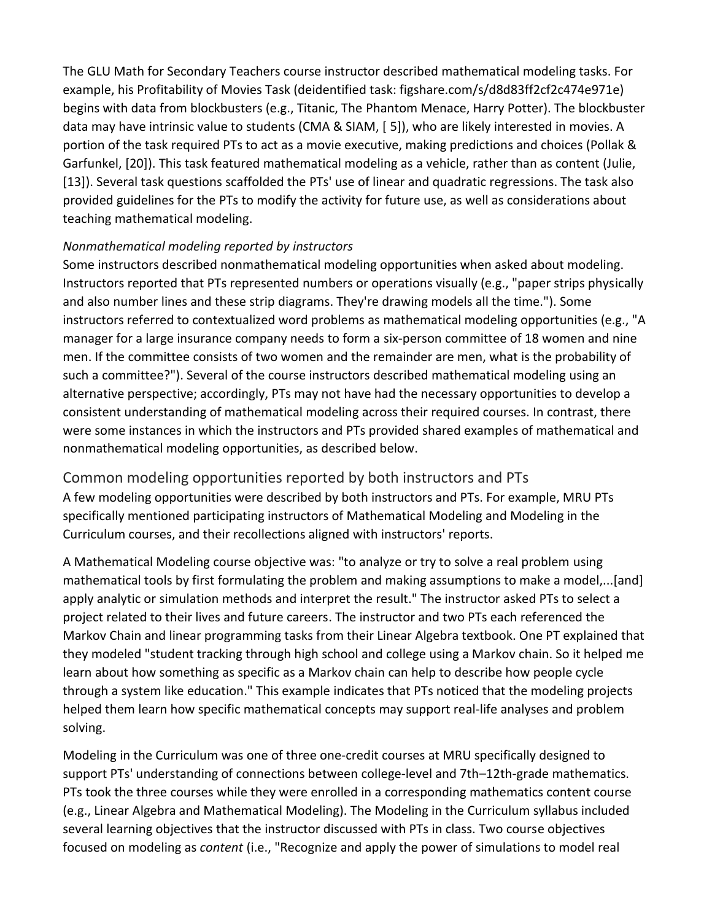The GLU Math for Secondary Teachers course instructor described mathematical modeling tasks. For example, his Profitability of Movies Task (deidentified task: figshare.com/s/d8d83ff2cf2c474e971e) begins with data from blockbusters (e.g., Titanic, The Phantom Menace, Harry Potter). The blockbuster data may have intrinsic value to students (CMA & SIAM, [ 5]), who are likely interested in movies. A portion of the task required PTs to act as a movie executive, making predictions and choices (Pollak & Garfunkel, [20]). This task featured mathematical modeling as a vehicle, rather than as content (Julie, [13]). Several task questions scaffolded the PTs' use of linear and quadratic regressions. The task also provided guidelines for the PTs to modify the activity for future use, as well as considerations about teaching mathematical modeling.

#### *Nonmathematical modeling reported by instructors*

Some instructors described nonmathematical modeling opportunities when asked about modeling. Instructors reported that PTs represented numbers or operations visually (e.g., "paper strips physically and also number lines and these strip diagrams. They're drawing models all the time."). Some instructors referred to contextualized word problems as mathematical modeling opportunities (e.g., "A manager for a large insurance company needs to form a six‐person committee of 18 women and nine men. If the committee consists of two women and the remainder are men, what is the probability of such a committee?"). Several of the course instructors described mathematical modeling using an alternative perspective; accordingly, PTs may not have had the necessary opportunities to develop a consistent understanding of mathematical modeling across their required courses. In contrast, there were some instances in which the instructors and PTs provided shared examples of mathematical and nonmathematical modeling opportunities, as described below.

Common modeling opportunities reported by both instructors and PTs A few modeling opportunities were described by both instructors and PTs. For example, MRU PTs specifically mentioned participating instructors of Mathematical Modeling and Modeling in the Curriculum courses, and their recollections aligned with instructors' reports.

A Mathematical Modeling course objective was: "to analyze or try to solve a real problem using mathematical tools by first formulating the problem and making assumptions to make a model,...[and] apply analytic or simulation methods and interpret the result." The instructor asked PTs to select a project related to their lives and future careers. The instructor and two PTs each referenced the Markov Chain and linear programming tasks from their Linear Algebra textbook. One PT explained that they modeled "student tracking through high school and college using a Markov chain. So it helped me learn about how something as specific as a Markov chain can help to describe how people cycle through a system like education." This example indicates that PTs noticed that the modeling projects helped them learn how specific mathematical concepts may support real-life analyses and problem solving.

Modeling in the Curriculum was one of three one‐credit courses at MRU specifically designed to support PTs' understanding of connections between college-level and 7th–12th-grade mathematics. PTs took the three courses while they were enrolled in a corresponding mathematics content course (e.g., Linear Algebra and Mathematical Modeling). The Modeling in the Curriculum syllabus included several learning objectives that the instructor discussed with PTs in class. Two course objectives focused on modeling as *content* (i.e., "Recognize and apply the power of simulations to model real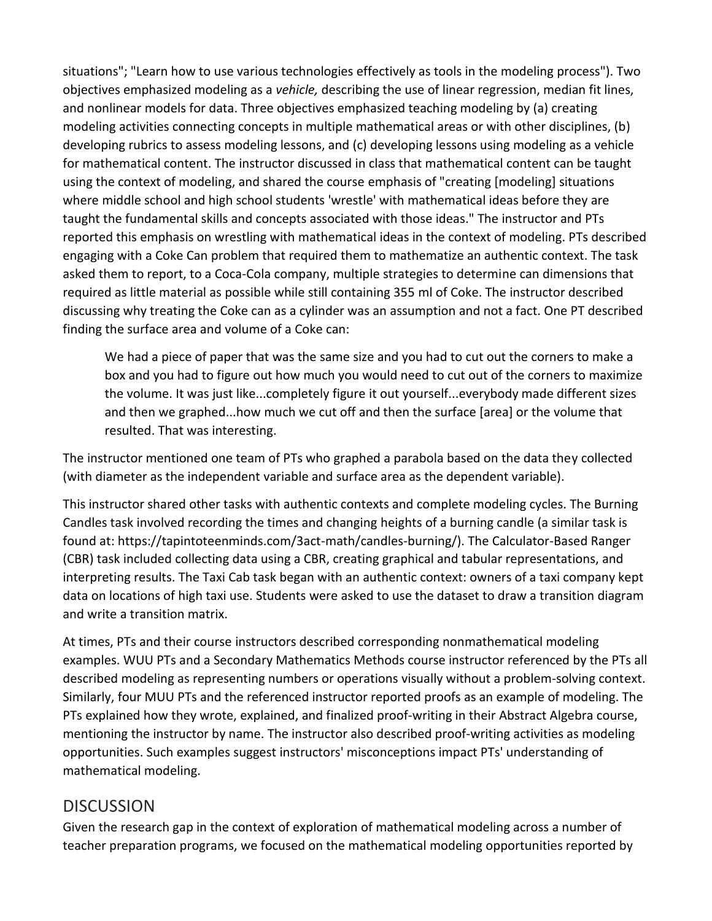situations"; "Learn how to use various technologies effectively as tools in the modeling process"). Two objectives emphasized modeling as a *vehicle,* describing the use of linear regression, median fit lines, and nonlinear models for data. Three objectives emphasized teaching modeling by (a) creating modeling activities connecting concepts in multiple mathematical areas or with other disciplines, (b) developing rubrics to assess modeling lessons, and (c) developing lessons using modeling as a vehicle for mathematical content. The instructor discussed in class that mathematical content can be taught using the context of modeling, and shared the course emphasis of "creating [modeling] situations where middle school and high school students 'wrestle' with mathematical ideas before they are taught the fundamental skills and concepts associated with those ideas." The instructor and PTs reported this emphasis on wrestling with mathematical ideas in the context of modeling. PTs described engaging with a Coke Can problem that required them to mathematize an authentic context. The task asked them to report, to a Coca‐Cola company, multiple strategies to determine can dimensions that required as little material as possible while still containing 355 ml of Coke. The instructor described discussing why treating the Coke can as a cylinder was an assumption and not a fact. One PT described finding the surface area and volume of a Coke can:

We had a piece of paper that was the same size and you had to cut out the corners to make a box and you had to figure out how much you would need to cut out of the corners to maximize the volume. It was just like...completely figure it out yourself...everybody made different sizes and then we graphed...how much we cut off and then the surface [area] or the volume that resulted. That was interesting.

The instructor mentioned one team of PTs who graphed a parabola based on the data they collected (with diameter as the independent variable and surface area as the dependent variable).

This instructor shared other tasks with authentic contexts and complete modeling cycles. The Burning Candles task involved recording the times and changing heights of a burning candle (a similar task is found at: https://tapintoteenminds.com/3act-math/candles-burning/). The Calculator‐Based Ranger (CBR) task included collecting data using a CBR, creating graphical and tabular representations, and interpreting results. The Taxi Cab task began with an authentic context: owners of a taxi company kept data on locations of high taxi use. Students were asked to use the dataset to draw a transition diagram and write a transition matrix.

At times, PTs and their course instructors described corresponding nonmathematical modeling examples. WUU PTs and a Secondary Mathematics Methods course instructor referenced by the PTs all described modeling as representing numbers or operations visually without a problem‐solving context. Similarly, four MUU PTs and the referenced instructor reported proofs as an example of modeling. The PTs explained how they wrote, explained, and finalized proof‐writing in their Abstract Algebra course, mentioning the instructor by name. The instructor also described proof‐writing activities as modeling opportunities. Such examples suggest instructors' misconceptions impact PTs' understanding of mathematical modeling.

## **DISCUSSION**

Given the research gap in the context of exploration of mathematical modeling across a number of teacher preparation programs, we focused on the mathematical modeling opportunities reported by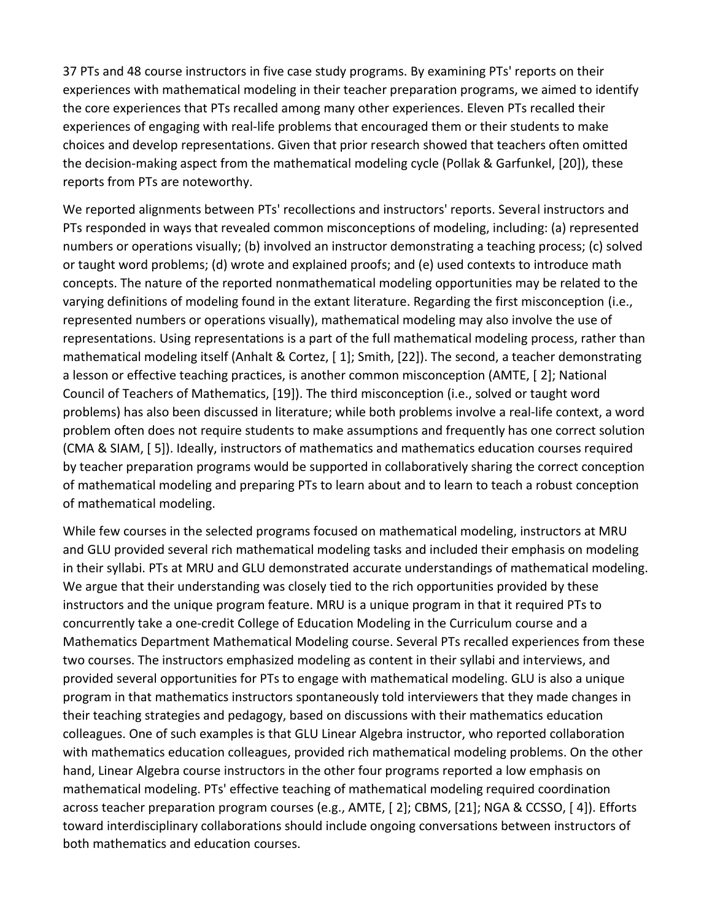37 PTs and 48 course instructors in five case study programs. By examining PTs' reports on their experiences with mathematical modeling in their teacher preparation programs, we aimed to identify the core experiences that PTs recalled among many other experiences. Eleven PTs recalled their experiences of engaging with real-life problems that encouraged them or their students to make choices and develop representations. Given that prior research showed that teachers often omitted the decision‐making aspect from the mathematical modeling cycle (Pollak & Garfunkel, [20]), these reports from PTs are noteworthy.

We reported alignments between PTs' recollections and instructors' reports. Several instructors and PTs responded in ways that revealed common misconceptions of modeling, including: (a) represented numbers or operations visually; (b) involved an instructor demonstrating a teaching process; (c) solved or taught word problems; (d) wrote and explained proofs; and (e) used contexts to introduce math concepts. The nature of the reported nonmathematical modeling opportunities may be related to the varying definitions of modeling found in the extant literature. Regarding the first misconception (i.e., represented numbers or operations visually), mathematical modeling may also involve the use of representations. Using representations is a part of the full mathematical modeling process, rather than mathematical modeling itself (Anhalt & Cortez, [ 1]; Smith, [22]). The second, a teacher demonstrating a lesson or effective teaching practices, is another common misconception (AMTE, [ 2]; National Council of Teachers of Mathematics, [19]). The third misconception (i.e., solved or taught word problems) has also been discussed in literature; while both problems involve a real‐life context, a word problem often does not require students to make assumptions and frequently has one correct solution (CMA & SIAM, [ 5]). Ideally, instructors of mathematics and mathematics education courses required by teacher preparation programs would be supported in collaboratively sharing the correct conception of mathematical modeling and preparing PTs to learn about and to learn to teach a robust conception of mathematical modeling.

While few courses in the selected programs focused on mathematical modeling, instructors at MRU and GLU provided several rich mathematical modeling tasks and included their emphasis on modeling in their syllabi. PTs at MRU and GLU demonstrated accurate understandings of mathematical modeling. We argue that their understanding was closely tied to the rich opportunities provided by these instructors and the unique program feature. MRU is a unique program in that it required PTs to concurrently take a one‐credit College of Education Modeling in the Curriculum course and a Mathematics Department Mathematical Modeling course. Several PTs recalled experiences from these two courses. The instructors emphasized modeling as content in their syllabi and interviews, and provided several opportunities for PTs to engage with mathematical modeling. GLU is also a unique program in that mathematics instructors spontaneously told interviewers that they made changes in their teaching strategies and pedagogy, based on discussions with their mathematics education colleagues. One of such examples is that GLU Linear Algebra instructor, who reported collaboration with mathematics education colleagues, provided rich mathematical modeling problems. On the other hand, Linear Algebra course instructors in the other four programs reported a low emphasis on mathematical modeling. PTs' effective teaching of mathematical modeling required coordination across teacher preparation program courses (e.g., AMTE, [ 2]; CBMS, [21]; NGA & CCSSO, [ 4]). Efforts toward interdisciplinary collaborations should include ongoing conversations between instructors of both mathematics and education courses.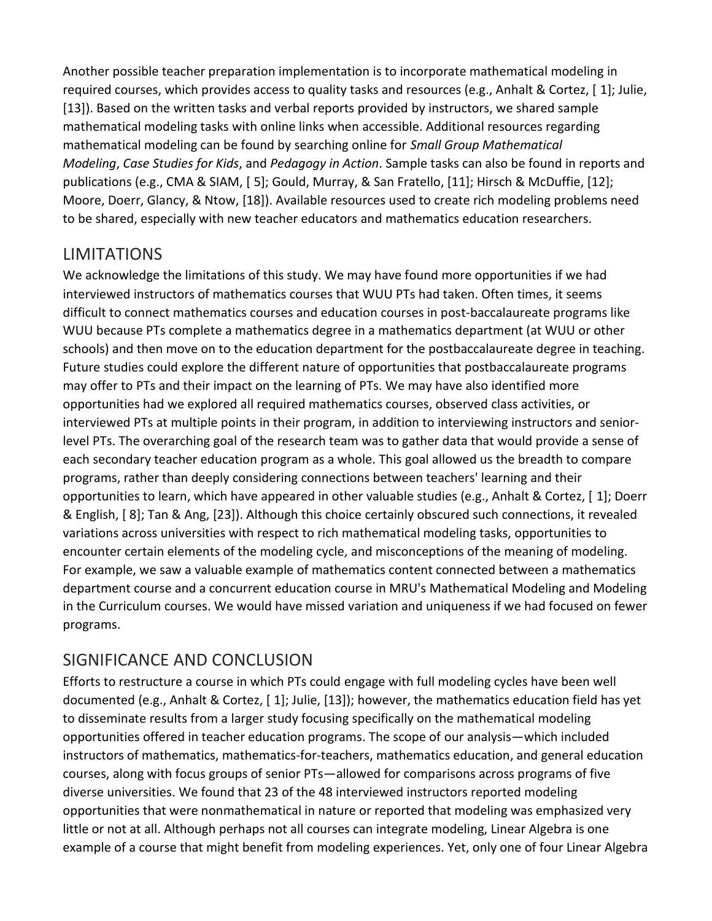Another possible teacher preparation implementation is to incorporate mathematical modeling in required courses, which provides access to quality tasks and resources (e.g., Anhalt & Cortez, [ 1]; Julie, [13]). Based on the written tasks and verbal reports provided by instructors, we shared sample mathematical modeling tasks with online links when accessible. Additional resources regarding mathematical modeling can be found by searching online for *Small Group Mathematical Modeling*, *Case Studies for Kids*, and *Pedagogy in Action*. Sample tasks can also be found in reports and publications (e.g., CMA & SIAM, [ 5]; Gould, Murray, & San Fratello, [11]; Hirsch & McDuffie, [12]; Moore, Doerr, Glancy, & Ntow, [18]). Available resources used to create rich modeling problems need to be shared, especially with new teacher educators and mathematics education researchers.

## LIMITATIONS

We acknowledge the limitations of this study. We may have found more opportunities if we had interviewed instructors of mathematics courses that WUU PTs had taken. Often times, it seems difficult to connect mathematics courses and education courses in post‐baccalaureate programs like WUU because PTs complete a mathematics degree in a mathematics department (at WUU or other schools) and then move on to the education department for the postbaccalaureate degree in teaching. Future studies could explore the different nature of opportunities that postbaccalaureate programs may offer to PTs and their impact on the learning of PTs. We may have also identified more opportunities had we explored all required mathematics courses, observed class activities, or interviewed PTs at multiple points in their program, in addition to interviewing instructors and senior‐ level PTs. The overarching goal of the research team was to gather data that would provide a sense of each secondary teacher education program as a whole. This goal allowed us the breadth to compare programs, rather than deeply considering connections between teachers' learning and their opportunities to learn, which have appeared in other valuable studies (e.g., Anhalt & Cortez, [ 1]; Doerr & English, [ 8]; Tan & Ang, [23]). Although this choice certainly obscured such connections, it revealed variations across universities with respect to rich mathematical modeling tasks, opportunities to encounter certain elements of the modeling cycle, and misconceptions of the meaning of modeling. For example, we saw a valuable example of mathematics content connected between a mathematics department course and a concurrent education course in MRU's Mathematical Modeling and Modeling in the Curriculum courses. We would have missed variation and uniqueness if we had focused on fewer programs.

## SIGNIFICANCE AND CONCLUSION

Efforts to restructure a course in which PTs could engage with full modeling cycles have been well documented (e.g., Anhalt & Cortez, [ 1]; Julie, [13]); however, the mathematics education field has yet to disseminate results from a larger study focusing specifically on the mathematical modeling opportunities offered in teacher education programs. The scope of our analysis—which included instructors of mathematics, mathematics-for-teachers, mathematics education, and general education courses, along with focus groups of senior PTs—allowed for comparisons across programs of five diverse universities. We found that 23 of the 48 interviewed instructors reported modeling opportunities that were nonmathematical in nature or reported that modeling was emphasized very little or not at all. Although perhaps not all courses can integrate modeling, Linear Algebra is one example of a course that might benefit from modeling experiences. Yet, only one of four Linear Algebra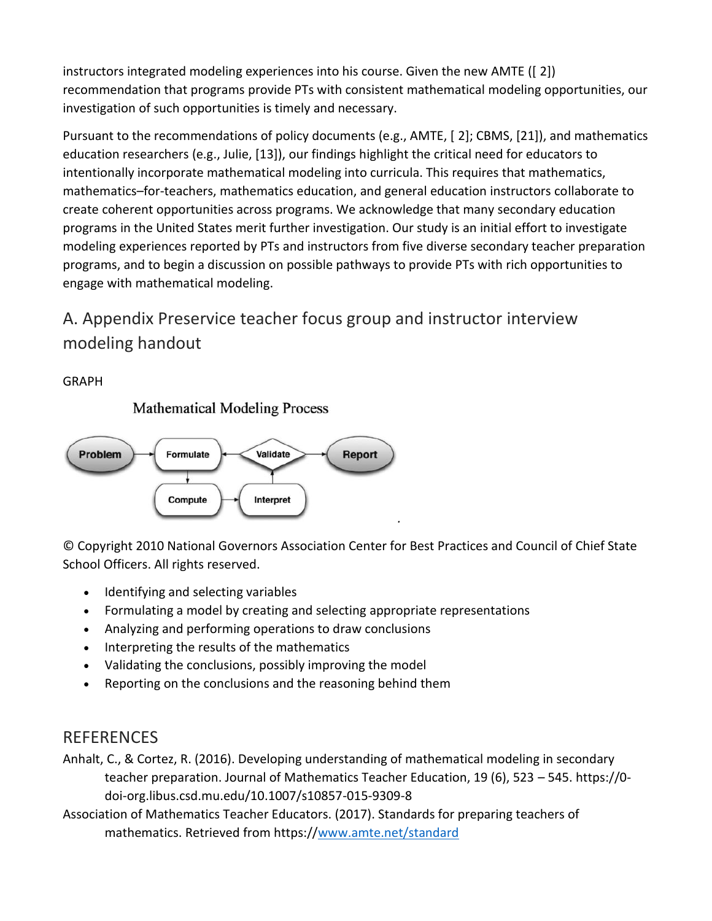instructors integrated modeling experiences into his course. Given the new AMTE ([ 2]) recommendation that programs provide PTs with consistent mathematical modeling opportunities, our investigation of such opportunities is timely and necessary.

Pursuant to the recommendations of policy documents (e.g., AMTE, [ 2]; CBMS, [21]), and mathematics education researchers (e.g., Julie, [13]), our findings highlight the critical need for educators to intentionally incorporate mathematical modeling into curricula. This requires that mathematics, mathematics–for‐teachers, mathematics education, and general education instructors collaborate to create coherent opportunities across programs. We acknowledge that many secondary education programs in the United States merit further investigation. Our study is an initial effort to investigate modeling experiences reported by PTs and instructors from five diverse secondary teacher preparation programs, and to begin a discussion on possible pathways to provide PTs with rich opportunities to engage with mathematical modeling.

# A. Appendix Preservice teacher focus group and instructor interview modeling handout

GRAPH

**Mathematical Modeling Process** 



© Copyright 2010 National Governors Association Center for Best Practices and Council of Chief State School Officers. All rights reserved.

- Identifying and selecting variables
- Formulating a model by creating and selecting appropriate representations
- Analyzing and performing operations to draw conclusions
- Interpreting the results of the mathematics
- Validating the conclusions, possibly improving the model
- Reporting on the conclusions and the reasoning behind them

## **[REFERENCES](https://0-web-a-ebscohost-com.libus.csd.mu.edu/ehost/detail/detail?vid=2&sid=db946c8e-03f3-402f-a3ea-6f56a8e3acd0%40sessionmgr4006&bdata=JnNpdGU9ZWhvc3QtbGl2ZQ%3d%3d#toc)**

Anhalt, C., & Cortez, R. (2016). Developing understanding of mathematical modeling in secondary teacher preparation. Journal of Mathematics Teacher Education, 19 (6), 523 – 545. https://0 doi-org.libus.csd.mu.edu/10.1007/s10857-015-9309-8

Association of Mathematics Teacher Educators. (2017). Standards for preparing teachers of mathematics. Retrieved from https:/[/www.amte.net/standard](http://www.amte.net/standard)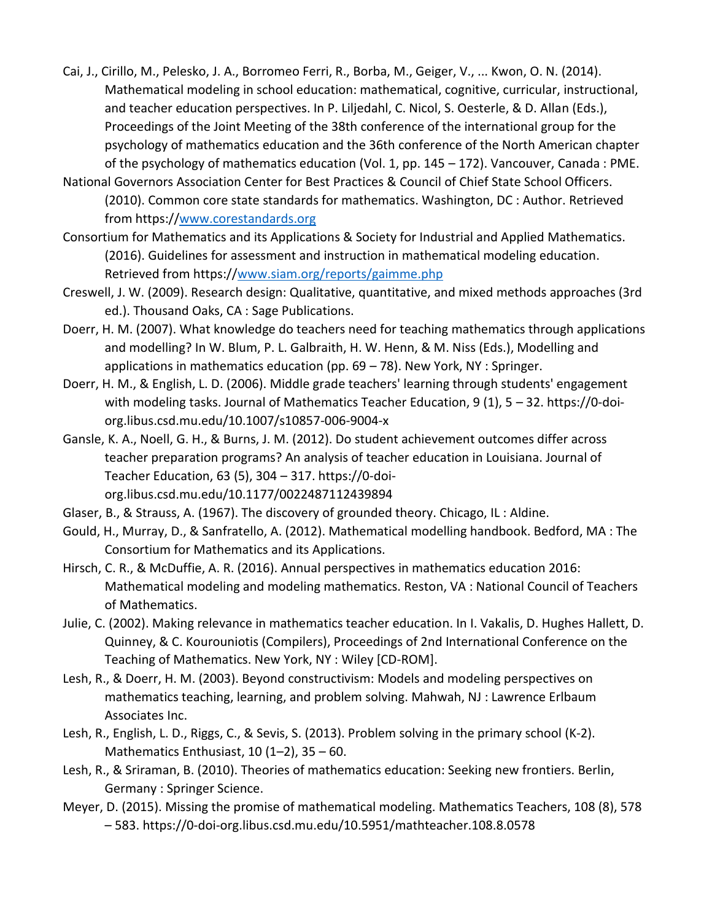- Cai, J., Cirillo, M., Pelesko, J. A., Borromeo Ferri, R., Borba, M., Geiger, V., ... Kwon, O. N. (2014). Mathematical modeling in school education: mathematical, cognitive, curricular, instructional, and teacher education perspectives. In P. Liljedahl, C. Nicol, S. Oesterle, & D. Allan (Eds.), Proceedings of the Joint Meeting of the 38th conference of the international group for the psychology of mathematics education and the 36th conference of the North American chapter of the psychology of mathematics education (Vol. 1, pp. 145 – 172). Vancouver, Canada : PME.
- National Governors Association Center for Best Practices & Council of Chief State School Officers. (2010). Common core state standards for mathematics. Washington, DC : Author. Retrieved from https:/[/www.corestandards.org](http://www.corestandards.org/)
- Consortium for Mathematics and its Applications & Society for Industrial and Applied Mathematics. (2016). Guidelines for assessment and instruction in mathematical modeling education. Retrieved from https:/[/www.siam.org/reports/gaimme.php](http://www.siam.org/reports/gaimme.php)
- Creswell, J. W. (2009). Research design: Qualitative, quantitative, and mixed methods approaches (3rd ed.). Thousand Oaks, CA : Sage Publications.
- Doerr, H. M. (2007). What knowledge do teachers need for teaching mathematics through applications and modelling? In W. Blum, P. L. Galbraith, H. W. Henn, & M. Niss (Eds.), Modelling and applications in mathematics education (pp.  $69 - 78$ ). New York, NY : Springer.
- Doerr, H. M., & English, L. D. (2006). Middle grade teachers' learning through students' engagement with modeling tasks. Journal of Mathematics Teacher Education, 9 (1), 5 – 32. https://0-doiorg.libus.csd.mu.edu/10.1007/s10857-006-9004-x
- Gansle, K. A., Noell, G. H., & Burns, J. M. (2012). Do student achievement outcomes differ across teacher preparation programs? An analysis of teacher education in Louisiana. Journal of Teacher Education, 63 (5), 304 – 317. https://0-doiorg.libus.csd.mu.edu/10.1177/0022487112439894
- Glaser, B., & Strauss, A. (1967). The discovery of grounded theory. Chicago, IL : Aldine.
- Gould, H., Murray, D., & Sanfratello, A. (2012). Mathematical modelling handbook. Bedford, MA : The Consortium for Mathematics and its Applications.
- Hirsch, C. R., & McDuffie, A. R. (2016). Annual perspectives in mathematics education 2016: Mathematical modeling and modeling mathematics. Reston, VA : National Council of Teachers of Mathematics.
- Julie, C. (2002). Making relevance in mathematics teacher education. In I. Vakalis, D. Hughes Hallett, D. Quinney, & C. Kourouniotis (Compilers), Proceedings of 2nd International Conference on the Teaching of Mathematics. New York, NY : Wiley [CD‐ROM].
- Lesh, R., & Doerr, H. M. (2003). Beyond constructivism: Models and modeling perspectives on mathematics teaching, learning, and problem solving. Mahwah, NJ : Lawrence Erlbaum Associates Inc.
- Lesh, R., English, L. D., Riggs, C., & Sevis, S. (2013). Problem solving in the primary school (K‐2). Mathematics Enthusiast, 10 (1-2),  $35 - 60$ .
- Lesh, R., & Sriraman, B. (2010). Theories of mathematics education: Seeking new frontiers. Berlin, Germany : Springer Science.
- Meyer, D. (2015). Missing the promise of mathematical modeling. Mathematics Teachers, 108 (8), 578 – 583. https://0-doi-org.libus.csd.mu.edu/10.5951/mathteacher.108.8.0578